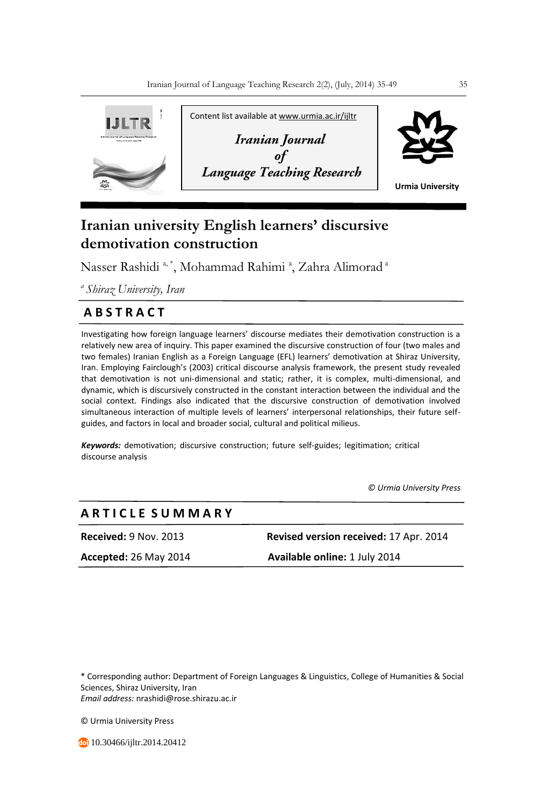

# **Iranian university English learners' discursive demotivation construction**

Nasser Rashidi <sup>a, \*</sup>, Mohammad Rahimi <sup>a</sup>, Zahra Alimorad <sup>a</sup>

*<sup>a</sup>Shiraz University, Iran* 

## **A B S T R A C T**

Investigating how foreign language learners' discourse mediates their demotivation construction is a relatively new area of inquiry. This paper examined the discursive construction of four (two males and two females) Iranian English as a Foreign Language (EFL) learners' demotivation at Shiraz University, Iran. Employing Fairclough's (2003) critical discourse analysis framework, the present study revealed that demotivation is not uni-dimensional and static; rather, it is complex, multi-dimensional, and dynamic, which is discursively constructed in the constant interaction between the individual and the social context. Findings also indicated that the discursive construction of demotivation involved simultaneous interaction of multiple levels of learners' interpersonal relationships, their future selfguides, and factors in local and broader social, cultural and political milieus.

*Keywords:* demotivation; discursive construction; future self-guides; legitimation; critical discourse analysis

 *© Urmia University Press*

### **A R T I C L E S U M M A R Y**

**Received:** 9 Nov. 2013 **Revised version received:** 17 Apr. 2014

**Accepted:** 26 May 2014 **Available online:** 1 July 2014

\* Corresponding author: Department of Foreign Languages & Linguistics, College of Humanities & Social Sciences, Shiraz University, Iran *Email address:* nrashidi@rose.shirazu.ac.ir

© Urmia University Press

10.30466/ijltr.2014.20412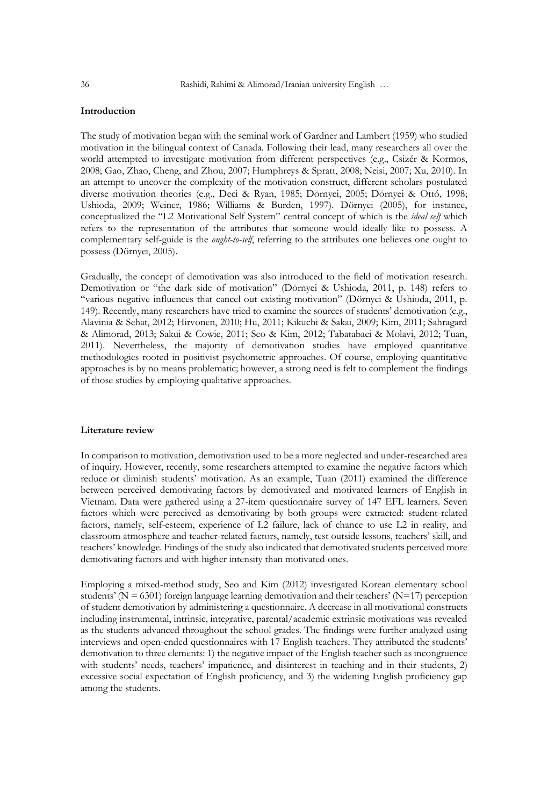#### **Introduction**

The study of motivation began with the seminal work of Gardner and Lambert (1959) who studied motivation in the bilingual context of Canada. Following their lead, many researchers all over the world attempted to investigate motivation from different perspectives (e.g., Csizér & Kormos, 2008; Gao, Zhao, Cheng, and Zhou, 2007; Humphreys & Spratt, 2008; Neisi, 2007; Xu, 2010). In an attempt to uncover the complexity of the motivation construct, different scholars postulated diverse motivation theories (e.g., Deci & Ryan, 1985; Dörnyei, 2005; Dörnyei & Ottó, 1998; Ushioda, 2009; Weiner, 1986; Williams & Burden, 1997). Dörnyei (2005), for instance, conceptualized the "L2 Motivational Self System" central concept of which is the *ideal self* which refers to the representation of the attributes that someone would ideally like to possess. A complementary self-guide is the *ought-to-self*, referring to the attributes one believes one ought to possess (Dörnyei, 2005).

Gradually, the concept of demotivation was also introduced to the field of motivation research. Demotivation or "the dark side of motivation" (Dörnyei & Ushioda, 2011, p. 148) refers to "various negative influences that cancel out existing motivation" (Dörnyei & Ushioda, 2011, p. 149). Recently, many researchers have tried to examine the sources of students' demotivation (e.g., Alavinia & Sehat, 2012; Hirvonen, 2010; Hu, 2011; Kikuchi & Sakai, 2009; Kim, 2011; Sahragard & Alimorad, 2013; Sakui & Cowie, 2011; Seo & Kim, 2012; Tabatabaei & Molavi, 2012; Tuan, 2011). Nevertheless, the majority of demotivation studies have employed quantitative methodologies rooted in positivist psychometric approaches. Of course, employing quantitative approaches is by no means problematic; however, a strong need is felt to complement the findings of those studies by employing qualitative approaches.

#### **Literature review**

In comparison to motivation, demotivation used to be a more neglected and under-researched area of inquiry. However, recently, some researchers attempted to examine the negative factors which reduce or diminish students' motivation. As an example, Tuan (2011) examined the difference between perceived demotivating factors by demotivated and motivated learners of English in Vietnam. Data were gathered using a 27-item questionnaire survey of 147 EFL learners. Seven factors which were perceived as demotivating by both groups were extracted: student-related factors, namely, self-esteem, experience of L2 failure, lack of chance to use L2 in reality, and classroom atmosphere and teacher-related factors, namely, test outside lessons, teachers' skill, and teachers' knowledge. Findings of the study also indicated that demotivated students perceived more demotivating factors and with higher intensity than motivated ones.

Employing a mixed-method study, Seo and Kim (2012) investigated Korean elementary school students' ( $N = 6301$ ) foreign language learning demotivation and their teachers' ( $N = 17$ ) perception of student demotivation by administering a questionnaire. A decrease in all motivational constructs including instrumental, intrinsic, integrative, parental/academic extrinsic motivations was revealed as the students advanced throughout the school grades. The findings were further analyzed using interviews and open-ended questionnaires with 17 English teachers. They attributed the students' demotivation to three elements: 1) the negative impact of the English teacher such as incongruence with students' needs, teachers' impatience, and disinterest in teaching and in their students, 2) excessive social expectation of English proficiency, and 3) the widening English proficiency gap among the students.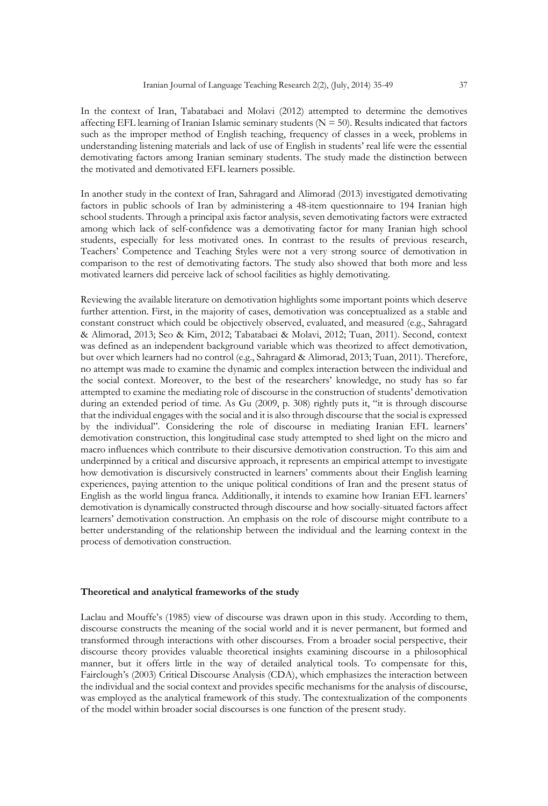In the context of Iran, Tabatabaei and Molavi (2012) attempted to determine the demotives affecting EFL learning of Iranian Islamic seminary students ( $N = 50$ ). Results indicated that factors such as the improper method of English teaching, frequency of classes in a week, problems in understanding listening materials and lack of use of English in students' real life were the essential demotivating factors among Iranian seminary students. The study made the distinction between the motivated and demotivated EFL learners possible.

In another study in the context of Iran, Sahragard and Alimorad (2013) investigated demotivating factors in public schools of Iran by administering a 48-item questionnaire to 194 Iranian high school students. Through a principal axis factor analysis, seven demotivating factors were extracted among which lack of self-confidence was a demotivating factor for many Iranian high school students, especially for less motivated ones. In contrast to the results of previous research, Teachers' Competence and Teaching Styles were not a very strong source of demotivation in comparison to the rest of demotivating factors. The study also showed that both more and less motivated learners did perceive lack of school facilities as highly demotivating.

Reviewing the available literature on demotivation highlights some important points which deserve further attention. First, in the majority of cases, demotivation was conceptualized as a stable and constant construct which could be objectively observed, evaluated, and measured (e.g., Sahragard & Alimorad, 2013; Seo & Kim, 2012; Tabatabaei & Molavi, 2012; Tuan, 2011). Second, context was defined as an independent background variable which was theorized to affect demotivation, but over which learners had no control (e.g., Sahragard & Alimorad, 2013; Tuan, 2011). Therefore, no attempt was made to examine the dynamic and complex interaction between the individual and the social context. Moreover, to the best of the researchers' knowledge, no study has so far attempted to examine the mediating role of discourse in the construction of students' demotivation during an extended period of time. As Gu (2009, p. 308) rightly puts it, "it is through discourse that the individual engages with the social and it is also through discourse that the social is expressed by the individual". Considering the role of discourse in mediating Iranian EFL learners' demotivation construction, this longitudinal case study attempted to shed light on the micro and macro influences which contribute to their discursive demotivation construction. To this aim and underpinned by a critical and discursive approach, it represents an empirical attempt to investigate how demotivation is discursively constructed in learners' comments about their English learning experiences, paying attention to the unique political conditions of Iran and the present status of English as the world lingua franca. Additionally, it intends to examine how Iranian EFL learners' demotivation is dynamically constructed through discourse and how socially-situated factors affect learners' demotivation construction. An emphasis on the role of discourse might contribute to a better understanding of the relationship between the individual and the learning context in the process of demotivation construction.

#### **Theoretical and analytical frameworks of the study**

Laclau and Mouffe's (1985) view of discourse was drawn upon in this study. According to them, discourse constructs the meaning of the social world and it is never permanent, but formed and transformed through interactions with other discourses. From a broader social perspective, their discourse theory provides valuable theoretical insights examining discourse in a philosophical manner, but it offers little in the way of detailed analytical tools. To compensate for this, Fairclough's (2003) Critical Discourse Analysis (CDA), which emphasizes the interaction between the individual and the social context and provides specific mechanisms for the analysis of discourse, was employed as the analytical framework of this study. The contextualization of the components of the model within broader social discourses is one function of the present study.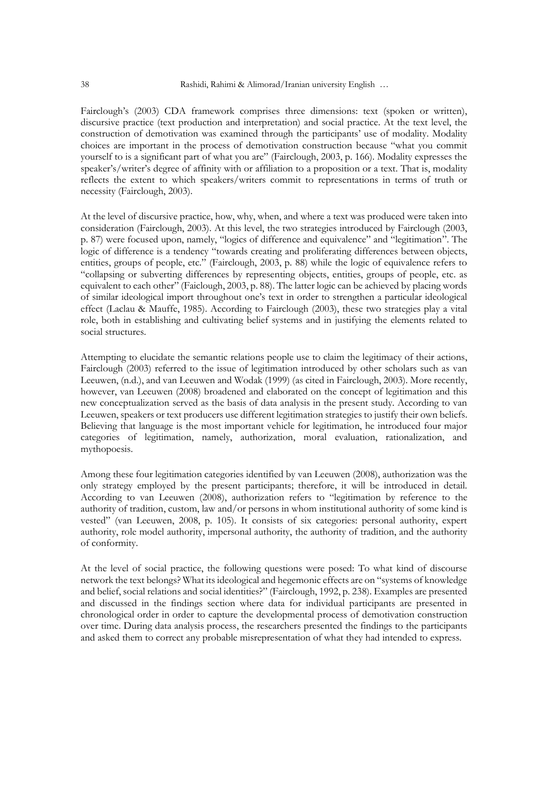Fairclough's (2003) CDA framework comprises three dimensions: text (spoken or written), discursive practice (text production and interpretation) and social practice. At the text level, the construction of demotivation was examined through the participants' use of modality. Modality choices are important in the process of demotivation construction because "what you commit yourself to is a significant part of what you are" (Fairclough, 2003, p. 166). Modality expresses the speaker's/writer's degree of affinity with or affiliation to a proposition or a text. That is, modality reflects the extent to which speakers/writers commit to representations in terms of truth or necessity (Fairclough, 2003).

At the level of discursive practice, how, why, when, and where a text was produced were taken into consideration (Fairclough, 2003). At this level, the two strategies introduced by Fairclough (2003, p. 87) were focused upon, namely, "logics of difference and equivalence" and "legitimation". The logic of difference is a tendency "towards creating and proliferating differences between objects, entities, groups of people, etc." (Fairclough, 2003, p. 88) while the logic of equivalence refers to "collapsing or subverting differences by representing objects, entities, groups of people, etc. as equivalent to each other" (Faiclough, 2003, p. 88). The latter logic can be achieved by placing words of similar ideological import throughout one's text in order to strengthen a particular ideological effect (Laclau & Mauffe, 1985). According to Fairclough (2003), these two strategies play a vital role, both in establishing and cultivating belief systems and in justifying the elements related to social structures.

Attempting to elucidate the semantic relations people use to claim the legitimacy of their actions, Fairclough (2003) referred to the issue of legitimation introduced by other scholars such as van Leeuwen, (n.d.), and van Leeuwen and Wodak (1999) (as cited in Fairclough, 2003). More recently, however, van Leeuwen (2008) broadened and elaborated on the concept of legitimation and this new conceptualization served as the basis of data analysis in the present study. According to van Leeuwen, speakers or text producers use different legitimation strategies to justify their own beliefs. Believing that language is the most important vehicle for legitimation, he introduced four major categories of legitimation, namely, authorization, moral evaluation, rationalization, and mythopoesis.

Among these four legitimation categories identified by van Leeuwen (2008), authorization was the only strategy employed by the present participants; therefore, it will be introduced in detail. According to van Leeuwen (2008), authorization refers to "legitimation by reference to the authority of tradition, custom, law and/or persons in whom institutional authority of some kind is vested" (van Leeuwen, 2008, p. 105). It consists of six categories: personal authority, expert authority, role model authority, impersonal authority, the authority of tradition, and the authority of conformity.

At the level of social practice, the following questions were posed: To what kind of discourse network the text belongs? What its ideological and hegemonic effects are on "systems of knowledge and belief, social relations and social identities?" (Fairclough, 1992, p. 238). Examples are presented and discussed in the findings section where data for individual participants are presented in chronological order in order to capture the developmental process of demotivation construction over time. During data analysis process, the researchers presented the findings to the participants and asked them to correct any probable misrepresentation of what they had intended to express.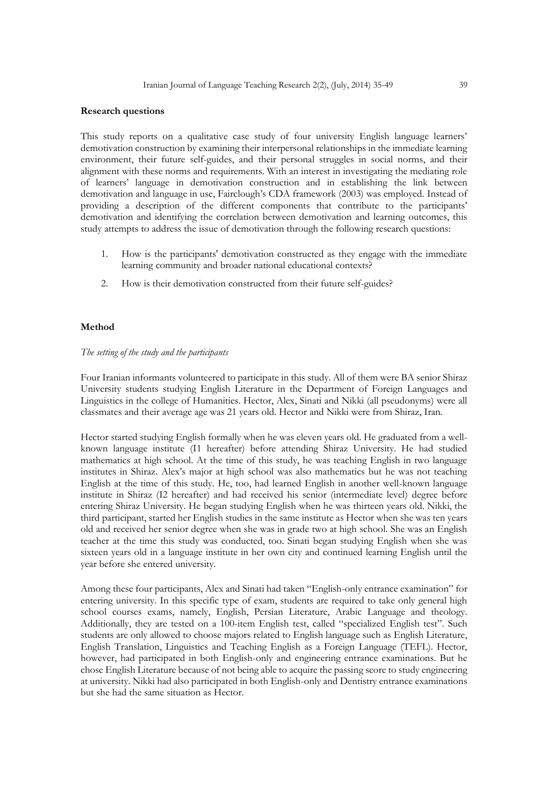#### **Research questions**

This study reports on a qualitative case study of four university English language learners' demotivation construction by examining their interpersonal relationships in the immediate learning environment, their future self-guides, and their personal struggles in social norms, and their alignment with these norms and requirements. With an interest in investigating the mediating role of learners' language in demotivation construction and in establishing the link between demotivation and language in use, Fairclough's CDA framework (2003) was employed. Instead of providing a description of the different components that contribute to the participants' demotivation and identifying the correlation between demotivation and learning outcomes, this study attempts to address the issue of demotivation through the following research questions:

- 1. How is the participants' demotivation constructed as they engage with the immediate learning community and broader national educational contexts?
- 2. How is their demotivation constructed from their future self-guides?

#### **Method**

#### *The setting of the study and the participants*

Four Iranian informants volunteered to participate in this study. All of them were BA senior Shiraz University students studying English Literature in the Department of Foreign Languages and Linguistics in the college of Humanities. Hector, Alex, Sinati and Nikki (all pseudonyms) were all classmates and their average age was 21 years old. Hector and Nikki were from Shiraz, Iran.

Hector started studying English formally when he was eleven years old. He graduated from a wellknown language institute (I1 hereafter) before attending Shiraz University. He had studied mathematics at high school. At the time of this study, he was teaching English in two language institutes in Shiraz. Alex's major at high school was also mathematics but he was not teaching English at the time of this study. He, too, had learned English in another well-known language institute in Shiraz (I2 hereafter) and had received his senior (intermediate level) degree before entering Shiraz University. He began studying English when he was thirteen years old. Nikki, the third participant, started her English studies in the same institute as Hector when she was ten years old and received her senior degree when she was in grade two at high school. She was an English teacher at the time this study was conducted, too. Sinati began studying English when she was sixteen years old in a language institute in her own city and continued learning English until the year before she entered university.

Among these four participants, Alex and Sinati had taken "English-only entrance examination" for entering university. In this specific type of exam, students are required to take only general high school courses exams, namely, English, Persian Literature, Arabic Language and theology. Additionally, they are tested on a 100-item English test, called "specialized English test". Such students are only allowed to choose majors related to English language such as English Literature, English Translation, Linguistics and Teaching English as a Foreign Language (TEFL). Hector, however, had participated in both English-only and engineering entrance examinations. But he chose English Literature because of not being able to acquire the passing score to study engineering at university. Nikki had also participated in both English-only and Dentistry entrance examinations but she had the same situation as Hector.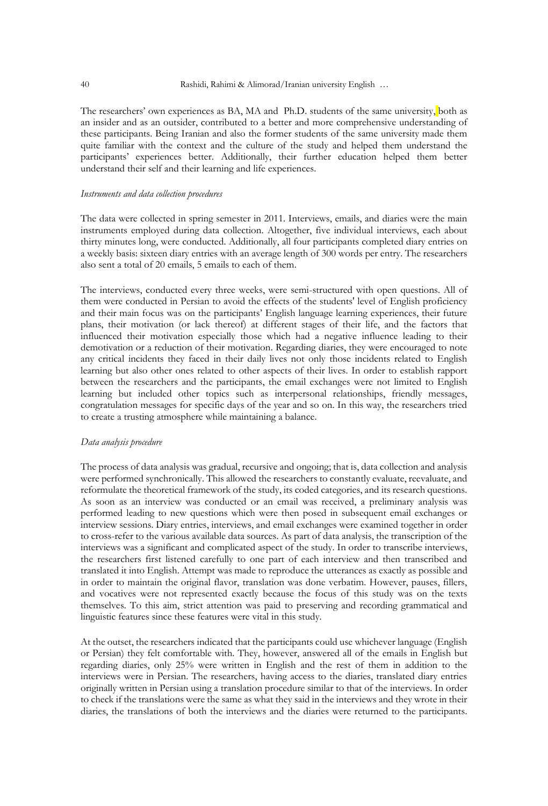The researchers' own experiences as BA, MA and Ph.D. students of the same university, both as an insider and as an outsider, contributed to a better and more comprehensive understanding of these participants. Being Iranian and also the former students of the same university made them quite familiar with the context and the culture of the study and helped them understand the participants' experiences better. Additionally, their further education helped them better understand their self and their learning and life experiences.

#### *Instruments and data collection procedures*

The data were collected in spring semester in 2011. Interviews, emails, and diaries were the main instruments employed during data collection. Altogether, five individual interviews, each about thirty minutes long, were conducted. Additionally, all four participants completed diary entries on a weekly basis: sixteen diary entries with an average length of 300 words per entry. The researchers also sent a total of 20 emails, 5 emails to each of them.

The interviews, conducted every three weeks, were semi-structured with open questions. All of them were conducted in Persian to avoid the effects of the students' level of English proficiency and their main focus was on the participants' English language learning experiences, their future plans, their motivation (or lack thereof) at different stages of their life, and the factors that influenced their motivation especially those which had a negative influence leading to their demotivation or a reduction of their motivation. Regarding diaries, they were encouraged to note any critical incidents they faced in their daily lives not only those incidents related to English learning but also other ones related to other aspects of their lives. In order to establish rapport between the researchers and the participants, the email exchanges were not limited to English learning but included other topics such as interpersonal relationships, friendly messages, congratulation messages for specific days of the year and so on. In this way, the researchers tried to create a trusting atmosphere while maintaining a balance.

#### *Data analysis procedure*

The process of data analysis was gradual, recursive and ongoing; that is, data collection and analysis were performed synchronically. This allowed the researchers to constantly evaluate, reevaluate, and reformulate the theoretical framework of the study, its coded categories, and its research questions. As soon as an interview was conducted or an email was received, a preliminary analysis was performed leading to new questions which were then posed in subsequent email exchanges or interview sessions. Diary entries, interviews, and email exchanges were examined together in order to cross-refer to the various available data sources. As part of data analysis, the transcription of the interviews was a significant and complicated aspect of the study. In order to transcribe interviews, the researchers first listened carefully to one part of each interview and then transcribed and translated it into English. Attempt was made to reproduce the utterances as exactly as possible and in order to maintain the original flavor, translation was done verbatim. However, pauses, fillers, and vocatives were not represented exactly because the focus of this study was on the texts themselves. To this aim, strict attention was paid to preserving and recording grammatical and linguistic features since these features were vital in this study.

At the outset, the researchers indicated that the participants could use whichever language (English or Persian) they felt comfortable with. They, however, answered all of the emails in English but regarding diaries, only 25% were written in English and the rest of them in addition to the interviews were in Persian. The researchers, having access to the diaries, translated diary entries originally written in Persian using a translation procedure similar to that of the interviews. In order to check if the translations were the same as what they said in the interviews and they wrote in their diaries, the translations of both the interviews and the diaries were returned to the participants.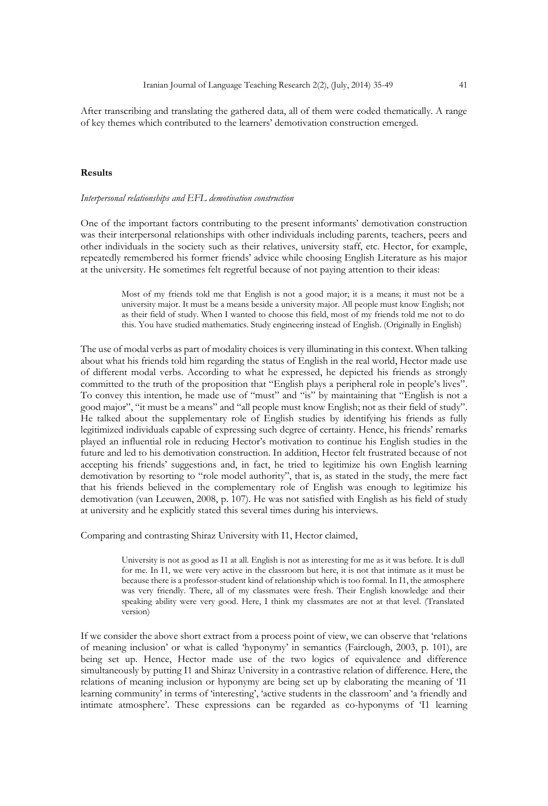After transcribing and translating the gathered data, all of them were coded thematically. A range of key themes which contributed to the learners' demotivation construction emerged.

#### **Results**

#### *Interpersonal relationships and EFL demotivation construction*

One of the important factors contributing to the present informants' demotivation construction was their interpersonal relationships with other individuals including parents, teachers, peers and other individuals in the society such as their relatives, university staff, etc. Hector, for example, repeatedly remembered his former friends' advice while choosing English Literature as his major at the university. He sometimes felt regretful because of not paying attention to their ideas:

> Most of my friends told me that English is not a good major; it is a means; it must not be a university major. It must be a means beside a university major. All people must know English; not as their field of study. When I wanted to choose this field, most of my friends told me not to do this. You have studied mathematics. Study engineering instead of English. (Originally in English)

The use of modal verbs as part of modality choices is very illuminating in this context. When talking about what his friends told him regarding the status of English in the real world, Hector made use of different modal verbs. According to what he expressed, he depicted his friends as strongly committed to the truth of the proposition that "English plays a peripheral role in people's lives". To convey this intention, he made use of "must" and "is" by maintaining that "English is not a good major", "it must be a means" and "all people must know English; not as their field of study". He talked about the supplementary role of English studies by identifying his friends as fully legitimized individuals capable of expressing such degree of certainty. Hence, his friends' remarks played an influential role in reducing Hector's motivation to continue his English studies in the future and led to his demotivation construction. In addition, Hector felt frustrated because of not accepting his friends' suggestions and, in fact, he tried to legitimize his own English learning demotivation by resorting to "role model authority", that is, as stated in the study, the mere fact that his friends believed in the complementary role of English was enough to legitimize his demotivation (van Leeuwen, 2008, p. 107). He was not satisfied with English as his field of study at university and he explicitly stated this several times during his interviews.

Comparing and contrasting Shiraz University with I1, Hector claimed,

University is not as good as I1 at all. English is not as interesting for me as it was before. It is dull for me. In I1, we were very active in the classroom but here, it is not that intimate as it must be because there is a professor-student kind of relationship which is too formal. In I1, the atmosphere was very friendly. There, all of my classmates were fresh. Their English knowledge and their speaking ability were very good. Here, I think my classmates are not at that level. (Translated version)

If we consider the above short extract from a process point of view, we can observe that 'relations of meaning inclusion' or what is called 'hyponymy' in semantics (Fairclough, 2003, p. 101), are being set up. Hence, Hector made use of the two logics of equivalence and difference simultaneously by putting I1 and Shiraz University in a contrastive relation of difference. Here, the relations of meaning inclusion or hyponymy are being set up by elaborating the meaning of 'I1 learning community' in terms of 'interesting', 'active students in the classroom' and 'a friendly and intimate atmosphere'. These expressions can be regarded as co-hyponyms of 'I1 learning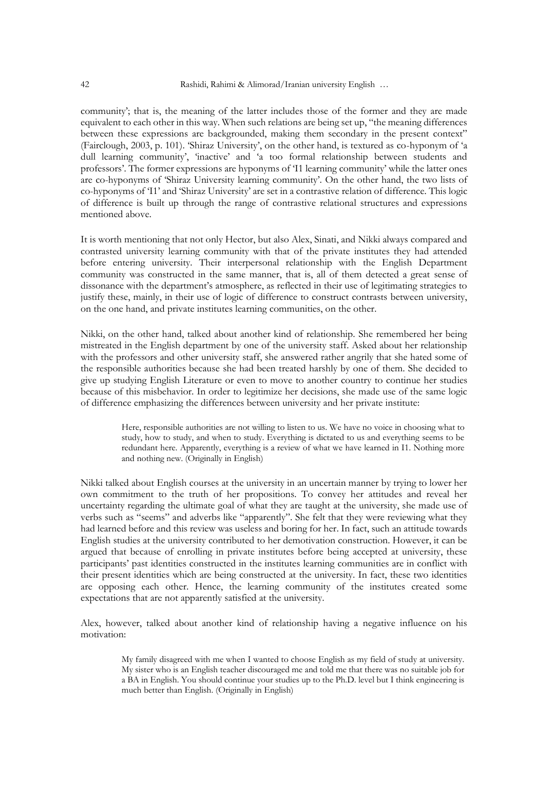community'; that is, the meaning of the latter includes those of the former and they are made equivalent to each other in this way. When such relations are being set up, "the meaning differences between these expressions are backgrounded, making them secondary in the present context" (Fairclough, 2003, p. 101). 'Shiraz University', on the other hand, is textured as co-hyponym of 'a dull learning community', 'inactive' and 'a too formal relationship between students and professors'. The former expressions are hyponyms of 'I1 learning community' while the latter ones are co-hyponyms of 'Shiraz University learning community'. On the other hand, the two lists of co-hyponyms of 'I1' and 'Shiraz University' are set in a contrastive relation of difference. This logic of difference is built up through the range of contrastive relational structures and expressions mentioned above.

It is worth mentioning that not only Hector, but also Alex, Sinati, and Nikki always compared and contrasted university learning community with that of the private institutes they had attended before entering university. Their interpersonal relationship with the English Department community was constructed in the same manner, that is, all of them detected a great sense of dissonance with the department's atmosphere, as reflected in their use of legitimating strategies to justify these, mainly, in their use of logic of difference to construct contrasts between university, on the one hand, and private institutes learning communities, on the other.

Nikki, on the other hand, talked about another kind of relationship. She remembered her being mistreated in the English department by one of the university staff. Asked about her relationship with the professors and other university staff, she answered rather angrily that she hated some of the responsible authorities because she had been treated harshly by one of them. She decided to give up studying English Literature or even to move to another country to continue her studies because of this misbehavior. In order to legitimize her decisions, she made use of the same logic of difference emphasizing the differences between university and her private institute:

> Here, responsible authorities are not willing to listen to us. We have no voice in choosing what to study, how to study, and when to study. Everything is dictated to us and everything seems to be redundant here. Apparently, everything is a review of what we have learned in I1. Nothing more and nothing new. (Originally in English)

Nikki talked about English courses at the university in an uncertain manner by trying to lower her own commitment to the truth of her propositions. To convey her attitudes and reveal her uncertainty regarding the ultimate goal of what they are taught at the university, she made use of verbs such as "seems" and adverbs like "apparently". She felt that they were reviewing what they had learned before and this review was useless and boring for her. In fact, such an attitude towards English studies at the university contributed to her demotivation construction. However, it can be argued that because of enrolling in private institutes before being accepted at university, these participants' past identities constructed in the institutes learning communities are in conflict with their present identities which are being constructed at the university. In fact, these two identities are opposing each other. Hence, the learning community of the institutes created some expectations that are not apparently satisfied at the university.

Alex, however, talked about another kind of relationship having a negative influence on his motivation:

> My family disagreed with me when I wanted to choose English as my field of study at university. My sister who is an English teacher discouraged me and told me that there was no suitable job for a BA in English. You should continue your studies up to the Ph.D. level but I think engineering is much better than English. (Originally in English)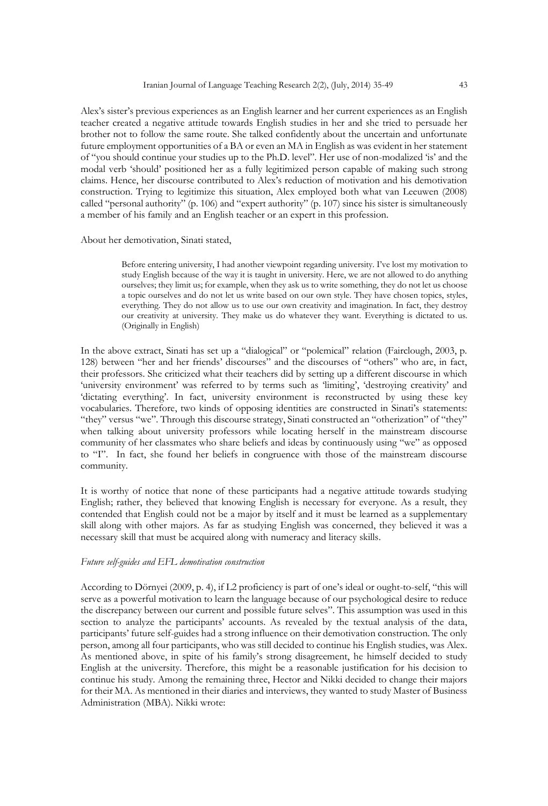Alex's sister's previous experiences as an English learner and her current experiences as an English teacher created a negative attitude towards English studies in her and she tried to persuade her brother not to follow the same route. She talked confidently about the uncertain and unfortunate future employment opportunities of a BA or even an MA in English as was evident in her statement of "you should continue your studies up to the Ph.D. level". Her use of non-modalized 'is' and the modal verb 'should' positioned her as a fully legitimized person capable of making such strong claims. Hence, her discourse contributed to Alex's reduction of motivation and his demotivation construction. Trying to legitimize this situation, Alex employed both what van Leeuwen (2008) called "personal authority" (p. 106) and "expert authority" (p. 107) since his sister is simultaneously a member of his family and an English teacher or an expert in this profession.

About her demotivation, Sinati stated,

Before entering university, I had another viewpoint regarding university. I've lost my motivation to study English because of the way it is taught in university. Here, we are not allowed to do anything ourselves; they limit us; for example, when they ask us to write something, they do not let us choose a topic ourselves and do not let us write based on our own style. They have chosen topics, styles, everything. They do not allow us to use our own creativity and imagination. In fact, they destroy our creativity at university. They make us do whatever they want. Everything is dictated to us. (Originally in English)

In the above extract, Sinati has set up a "dialogical" or "polemical" relation (Fairclough, 2003, p. 128) between "her and her friends' discourses" and the discourses of "others" who are, in fact, their professors. She criticized what their teachers did by setting up a different discourse in which 'university environment' was referred to by terms such as 'limiting', 'destroying creativity' and 'dictating everything'. In fact, university environment is reconstructed by using these key vocabularies. Therefore, two kinds of opposing identities are constructed in Sinati's statements: "they" versus "we". Through this discourse strategy, Sinati constructed an "otherization" of "they" when talking about university professors while locating herself in the mainstream discourse community of her classmates who share beliefs and ideas by continuously using "we" as opposed to "I". In fact, she found her beliefs in congruence with those of the mainstream discourse community.

It is worthy of notice that none of these participants had a negative attitude towards studying English; rather, they believed that knowing English is necessary for everyone. As a result, they contended that English could not be a major by itself and it must be learned as a supplementary skill along with other majors. As far as studying English was concerned, they believed it was a necessary skill that must be acquired along with numeracy and literacy skills.

#### *Future self-guides and EFL demotivation construction*

According to Dörnyei (2009, p. 4), if L2 proficiency is part of one's ideal or ought-to-self, "this will serve as a powerful motivation to learn the language because of our psychological desire to reduce the discrepancy between our current and possible future selves". This assumption was used in this section to analyze the participants' accounts. As revealed by the textual analysis of the data, participants' future self-guides had a strong influence on their demotivation construction. The only person, among all four participants, who was still decided to continue his English studies, was Alex. As mentioned above, in spite of his family's strong disagreement, he himself decided to study English at the university. Therefore, this might be a reasonable justification for his decision to continue his study. Among the remaining three, Hector and Nikki decided to change their majors for their MA. As mentioned in their diaries and interviews, they wanted to study Master of Business Administration (MBA). Nikki wrote: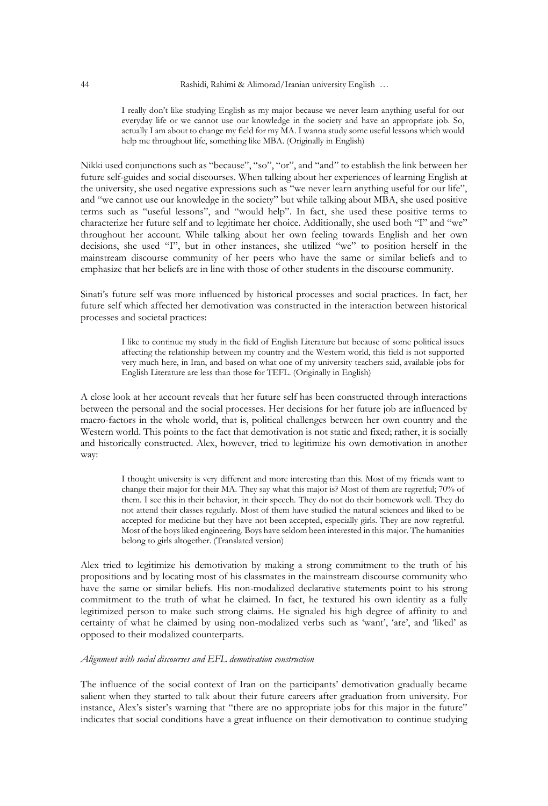I really don't like studying English as my major because we never learn anything useful for our everyday life or we cannot use our knowledge in the society and have an appropriate job. So, actually I am about to change my field for my MA. I wanna study some useful lessons which would help me throughout life, something like MBA. (Originally in English)

Nikki used conjunctions such as "because", "so", "or", and "and" to establish the link between her future self-guides and social discourses. When talking about her experiences of learning English at the university, she used negative expressions such as "we never learn anything useful for our life", and "we cannot use our knowledge in the society" but while talking about MBA, she used positive terms such as "useful lessons", and "would help". In fact, she used these positive terms to characterize her future self and to legitimate her choice. Additionally, she used both "I" and "we" throughout her account. While talking about her own feeling towards English and her own decisions, she used "I", but in other instances, she utilized "we" to position herself in the mainstream discourse community of her peers who have the same or similar beliefs and to emphasize that her beliefs are in line with those of other students in the discourse community.

Sinati's future self was more influenced by historical processes and social practices. In fact, her future self which affected her demotivation was constructed in the interaction between historical processes and societal practices:

> I like to continue my study in the field of English Literature but because of some political issues affecting the relationship between my country and the Western world, this field is not supported very much here, in Iran, and based on what one of my university teachers said, available jobs for English Literature are less than those for TEFL. (Originally in English)

A close look at her account reveals that her future self has been constructed through interactions between the personal and the social processes. Her decisions for her future job are influenced by macro-factors in the whole world, that is, political challenges between her own country and the Western world. This points to the fact that demotivation is not static and fixed; rather, it is socially and historically constructed. Alex, however, tried to legitimize his own demotivation in another way:

> I thought university is very different and more interesting than this. Most of my friends want to change their major for their MA. They say what this major is? Most of them are regretful; 70% of them. I see this in their behavior, in their speech. They do not do their homework well. They do not attend their classes regularly. Most of them have studied the natural sciences and liked to be accepted for medicine but they have not been accepted, especially girls. They are now regretful. Most of the boys liked engineering. Boys have seldom been interested in this major. The humanities belong to girls altogether. (Translated version)

Alex tried to legitimize his demotivation by making a strong commitment to the truth of his propositions and by locating most of his classmates in the mainstream discourse community who have the same or similar beliefs. His non-modalized declarative statements point to his strong commitment to the truth of what he claimed. In fact, he textured his own identity as a fully legitimized person to make such strong claims. He signaled his high degree of affinity to and certainty of what he claimed by using non-modalized verbs such as 'want', 'are', and 'liked' as opposed to their modalized counterparts.

#### *Alignment with social discourses and EFL demotivation construction*

The influence of the social context of Iran on the participants' demotivation gradually became salient when they started to talk about their future careers after graduation from university. For instance, Alex's sister's warning that "there are no appropriate jobs for this major in the future" indicates that social conditions have a great influence on their demotivation to continue studying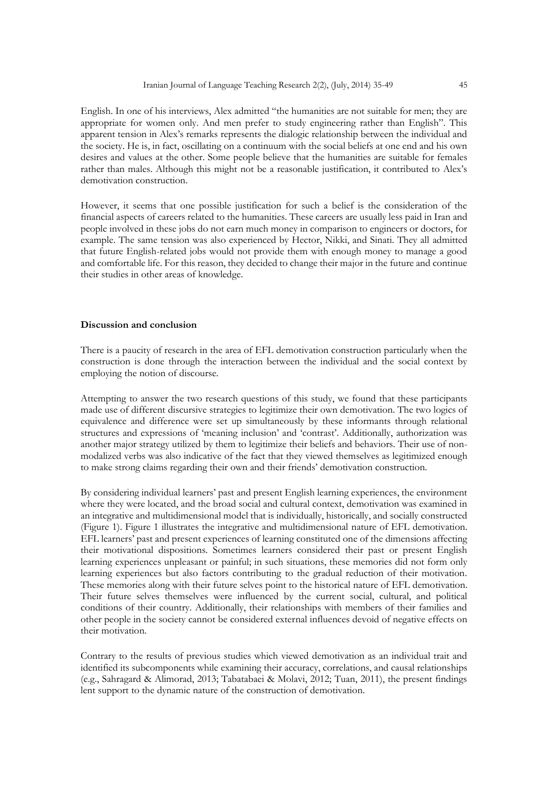English. In one of his interviews, Alex admitted "the humanities are not suitable for men; they are appropriate for women only. And men prefer to study engineering rather than English". This apparent tension in Alex's remarks represents the dialogic relationship between the individual and the society. He is, in fact, oscillating on a continuum with the social beliefs at one end and his own desires and values at the other. Some people believe that the humanities are suitable for females rather than males. Although this might not be a reasonable justification, it contributed to Alex's demotivation construction.

However, it seems that one possible justification for such a belief is the consideration of the financial aspects of careers related to the humanities. These careers are usually less paid in Iran and people involved in these jobs do not earn much money in comparison to engineers or doctors, for example. The same tension was also experienced by Hector, Nikki, and Sinati. They all admitted that future English-related jobs would not provide them with enough money to manage a good and comfortable life. For this reason, they decided to change their major in the future and continue their studies in other areas of knowledge.

#### **Discussion and conclusion**

There is a paucity of research in the area of EFL demotivation construction particularly when the construction is done through the interaction between the individual and the social context by employing the notion of discourse.

Attempting to answer the two research questions of this study, we found that these participants made use of different discursive strategies to legitimize their own demotivation. The two logics of equivalence and difference were set up simultaneously by these informants through relational structures and expressions of 'meaning inclusion' and 'contrast'. Additionally, authorization was another major strategy utilized by them to legitimize their beliefs and behaviors. Their use of nonmodalized verbs was also indicative of the fact that they viewed themselves as legitimized enough to make strong claims regarding their own and their friends' demotivation construction.

By considering individual learners' past and present English learning experiences, the environment where they were located, and the broad social and cultural context, demotivation was examined in an integrative and multidimensional model that is individually, historically, and socially constructed (Figure 1). Figure 1 illustrates the integrative and multidimensional nature of EFL demotivation. EFL learners' past and present experiences of learning constituted one of the dimensions affecting their motivational dispositions. Sometimes learners considered their past or present English learning experiences unpleasant or painful; in such situations, these memories did not form only learning experiences but also factors contributing to the gradual reduction of their motivation. These memories along with their future selves point to the historical nature of EFL demotivation. Their future selves themselves were influenced by the current social, cultural, and political conditions of their country. Additionally, their relationships with members of their families and other people in the society cannot be considered external influences devoid of negative effects on their motivation.

Contrary to the results of previous studies which viewed demotivation as an individual trait and identified its subcomponents while examining their accuracy, correlations, and causal relationships (e.g., Sahragard & Alimorad, 2013; Tabatabaei & Molavi, 2012; Tuan, 2011), the present findings lent support to the dynamic nature of the construction of demotivation.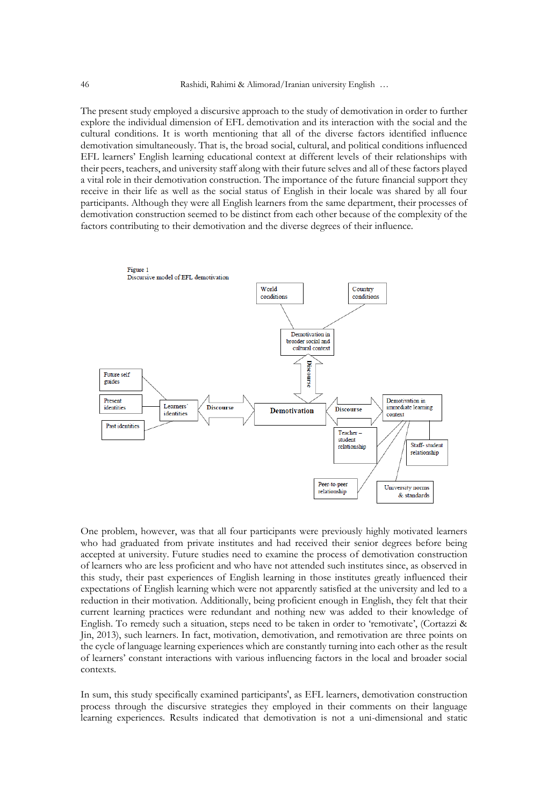The present study employed a discursive approach to the study of demotivation in order to further explore the individual dimension of EFL demotivation and its interaction with the social and the cultural conditions. It is worth mentioning that all of the diverse factors identified influence demotivation simultaneously. That is, the broad social, cultural, and political conditions influenced EFL learners' English learning educational context at different levels of their relationships with their peers, teachers, and university staff along with their future selves and all of these factors played a vital role in their demotivation construction. The importance of the future financial support they receive in their life as well as the social status of English in their locale was shared by all four participants. Although they were all English learners from the same department, their processes of demotivation construction seemed to be distinct from each other because of the complexity of the factors contributing to their demotivation and the diverse degrees of their influence.



One problem, however, was that all four participants were previously highly motivated learners who had graduated from private institutes and had received their senior degrees before being accepted at university. Future studies need to examine the process of demotivation construction of learners who are less proficient and who have not attended such institutes since, as observed in this study, their past experiences of English learning in those institutes greatly influenced their expectations of English learning which were not apparently satisfied at the university and led to a reduction in their motivation. Additionally, being proficient enough in English, they felt that their current learning practices were redundant and nothing new was added to their knowledge of English. To remedy such a situation, steps need to be taken in order to 'remotivate', (Cortazzi & Jin, 2013), such learners. In fact, motivation, demotivation, and remotivation are three points on the cycle of language learning experiences which are constantly turning into each other as the result of learners' constant interactions with various influencing factors in the local and broader social contexts.

In sum, this study specifically examined participants', as EFL learners, demotivation construction process through the discursive strategies they employed in their comments on their language learning experiences. Results indicated that demotivation is not a uni-dimensional and static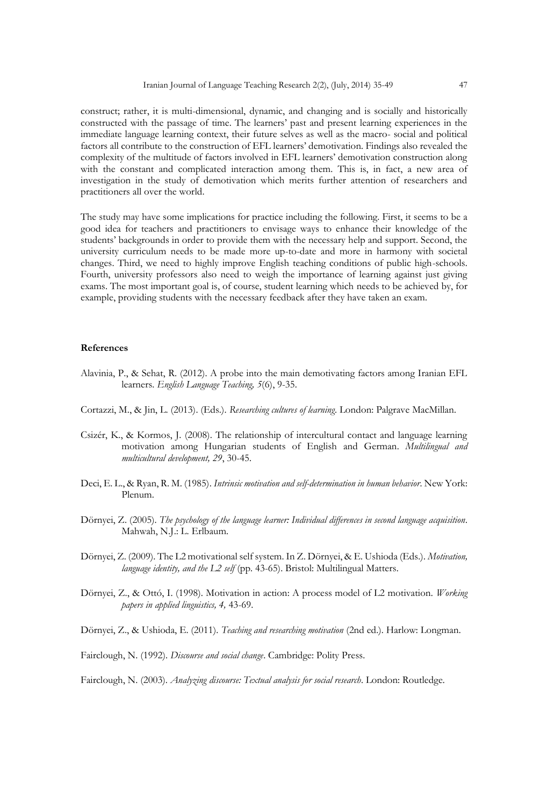construct; rather, it is multi-dimensional, dynamic, and changing and is socially and historically constructed with the passage of time. The learners' past and present learning experiences in the immediate language learning context, their future selves as well as the macro- social and political factors all contribute to the construction of EFL learners' demotivation. Findings also revealed the complexity of the multitude of factors involved in EFL learners' demotivation construction along with the constant and complicated interaction among them. This is, in fact, a new area of investigation in the study of demotivation which merits further attention of researchers and practitioners all over the world.

The study may have some implications for practice including the following. First, it seems to be a good idea for teachers and practitioners to envisage ways to enhance their knowledge of the students' backgrounds in order to provide them with the necessary help and support. Second, the university curriculum needs to be made more up-to-date and more in harmony with societal changes. Third, we need to highly improve English teaching conditions of public high-schools. Fourth, university professors also need to weigh the importance of learning against just giving exams. The most important goal is, of course, student learning which needs to be achieved by, for example, providing students with the necessary feedback after they have taken an exam.

#### **References**

- Alavinia, P., & Sehat, R. (2012). A probe into the main demotivating factors among Iranian EFL learners. *English Language Teaching, 5*(6), 9-35.
- Cortazzi, M., & Jin, L. (2013). (Eds.). *Researching cultures of learning*. London: Palgrave MacMillan.
- Csizér, K., & Kormos, J. (2008). The relationship of intercultural contact and language learning motivation among Hungarian students of English and German. *Multilingual and multicultural development, 29*, 30-45.
- Deci, E. L., & Ryan, R. M. (1985). *Intrinsic motivation and self-determination in human behavior*. New York: Plenum.
- Dörnyei, Z. (2005). *The psychology of the language learner: Individual differences in second language acquisition*. Mahwah, N.J.: L. Erlbaum.
- Dörnyei, Z. (2009). The L2 motivational self system. In Z. Dörnyei, & E. Ushioda (Eds.). *Motivation, language identity, and the L2 self* (pp. 43-65). Bristol: Multilingual Matters.
- Dörnyei, Z., & Ottó, I. (1998). Motivation in action: A process model of L2 motivation. *Working papers in applied linguistics, 4,* 43-69.

Dörnyei, Z., & Ushioda, E. (2011). *Teaching and researching motivation* (2nd ed.). Harlow: Longman.

Fairclough, N. (1992). *Discourse and social change*. Cambridge: Polity Press.

Fairclough, N. (2003). *Analyzing discourse: Textual analysis for social research*. London: Routledge.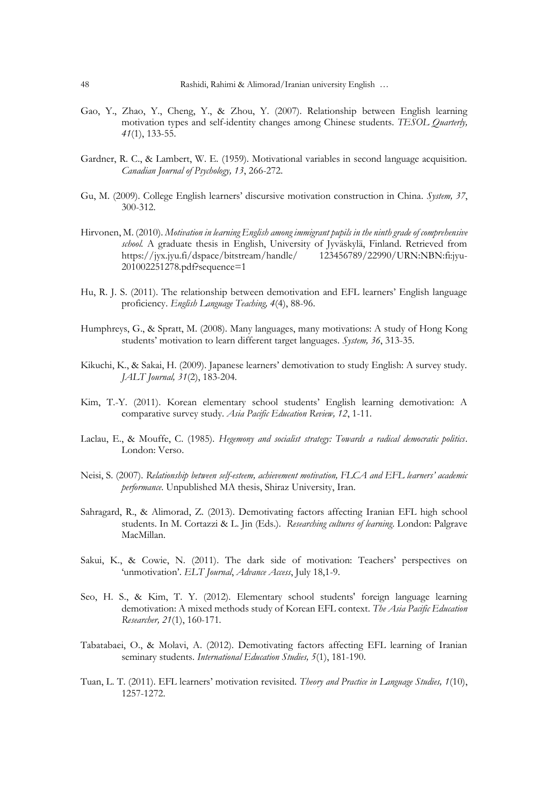- Gao, Y., Zhao, Y., Cheng, Y., & Zhou, Y. (2007). Relationship between English learning motivation types and self-identity changes among Chinese students. *TESOL Quarterly, 41*(1), 133-55.
- Gardner, R. C., & Lambert, W. E. (1959). Motivational variables in second language acquisition. *Canadian Journal of Psychology, 13*, 266-272.
- Gu, M. (2009). College English learners' discursive motivation construction in China. *System, 37*, 300-312.
- Hirvonen, M. (2010). *Motivation in learning English among immigrant pupils in the ninth grade of comprehensive school.* A graduate thesis in English, University of Jyväskylä, Finland. Retrieved from https://jyx.jyu.fi/dspace/bitstream/handle/ 123456789/22990/URN:NBN:fi:jyu-201002251278.pdf?sequence=1
- Hu, R. J. S. (2011). The relationship between demotivation and EFL learners' English language proficiency. *English Language Teaching, 4*(4), 88-96.
- Humphreys, G., & Spratt, M. (2008). Many languages, many motivations: A study of Hong Kong students' motivation to learn different target languages. *System, 36*, 313-35.
- Kikuchi, K., & Sakai, H. (2009). Japanese learners' demotivation to study English: A survey study. *JALT Journal, 31*(2), 183-204.
- Kim, T.-Y. (2011). Korean elementary school students' English learning demotivation: A comparative survey study. *Asia Pacific Education Review, 12*, 1-11.
- Laclau, E., & Mouffe, C. (1985). *Hegemony and socialist strategy: Towards a radical democratic politics*. London: Verso.
- Neisi, S. (2007). *Relationship between self-esteem, achievement motivation, FLCA and EFL learners' academic performance*. Unpublished MA thesis, Shiraz University, Iran.
- Sahragard, R., & Alimorad, Z. (2013). Demotivating factors affecting Iranian EFL high school students. In M. Cortazzi & L. Jin (Eds.). *Researching cultures of learning*. London: Palgrave MacMillan.
- Sakui, K., & Cowie, N. (2011). The dark side of motivation: Teachers' perspectives on 'unmotivation'. *ELT Journal*, *Advance Access*, July 18,1-9.
- Seo, H. S., & Kim, T. Y. (2012). Elementary school students' foreign language learning demotivation: A mixed methods study of Korean EFL context. *The Asia Pacific Education Researcher, 21*(1), 160-171*.*
- Tabatabaei, O., & Molavi, A. (2012). Demotivating factors affecting EFL learning of Iranian seminary students. *International Education Studies, 5*(1), 181-190.
- Tuan, L. T. (2011). EFL learners' motivation revisited. *Theory and Practice in Language Studies, 1*(10), 1257-1272.